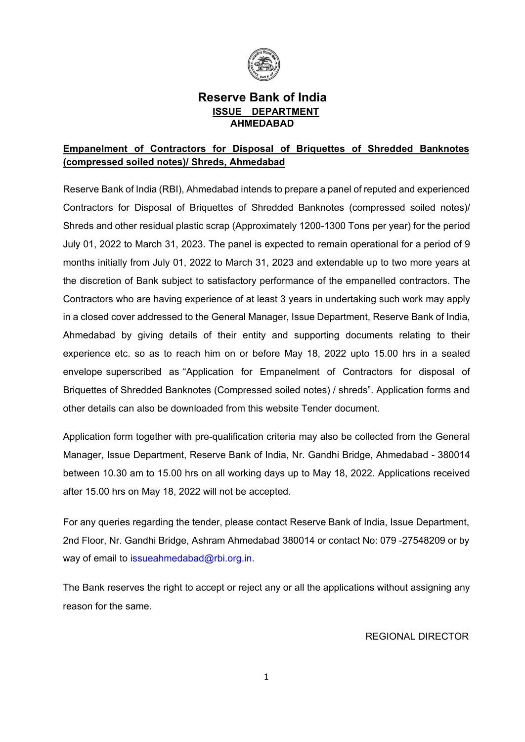

## **Reserve Bank of India ISSUE DEPARTMENT AHMEDABAD**

## **Empanelment of Contractors for Disposal of Briquettes of Shredded Banknotes (compressed soiled notes)/ Shreds, Ahmedabad**

Reserve Bank of India (RBI), Ahmedabad intends to prepare a panel of reputed and experienced Contractors for Disposal of Briquettes of Shredded Banknotes (compressed soiled notes)/ Shreds and other residual plastic scrap (Approximately 1200-1300 Tons per year) for the period July 01, 2022 to March 31, 2023. The panel is expected to remain operational for a period of 9 months initially from July 01, 2022 to March 31, 2023 and extendable up to two more years at the discretion of Bank subject to satisfactory performance of the empanelled contractors. The Contractors who are having experience of at least 3 years in undertaking such work may apply in a closed cover addressed to the General Manager, Issue Department, Reserve Bank of India, Ahmedabad by giving details of their entity and supporting documents relating to their experience etc. so as to reach him on or before May 18, 2022 upto 15.00 hrs in a sealed envelope superscribed as "Application for Empanelment of Contractors for disposal of Briquettes of Shredded Banknotes (Compressed soiled notes) / shreds". Application forms and other details can also be downloaded from this website Tender document.

Application form together with pre-qualification criteria may also be collected from the General Manager, Issue Department, Reserve Bank of India, Nr. Gandhi Bridge, Ahmedabad - 380014 between 10.30 am to 15.00 hrs on all working days up to May 18, 2022. Applications received after 15.00 hrs on May 18, 2022 will not be accepted.

For any queries regarding the tender, please contact Reserve Bank of India, Issue Department, 2nd Floor, Nr. Gandhi Bridge, Ashram Ahmedabad 380014 or contact No: 079 -27548209 or by way of email to [issueahmedabad@rbi.org.in.](mailto:issueahmedabad@rbi.org.in)

The Bank reserves the right to accept or reject any or all the applications without assigning any reason for the same.

REGIONAL DIRECTOR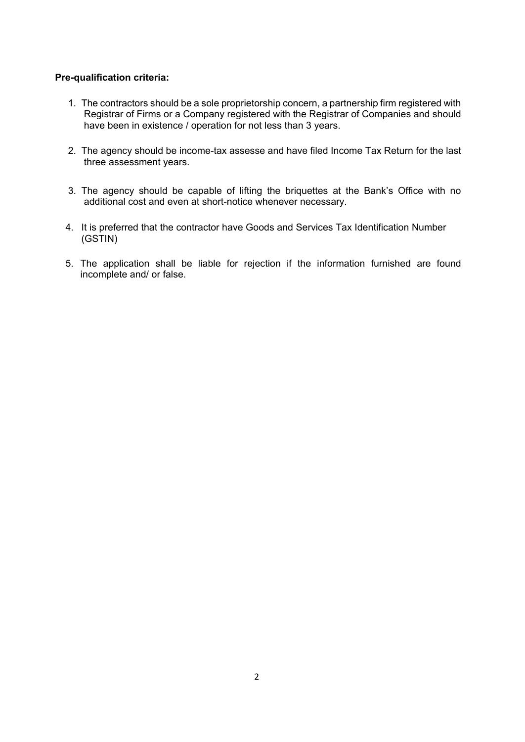### **Pre-qualification criteria:**

- 1. The contractors should be a sole proprietorship concern, a partnership firm registered with Registrar of Firms or a Company registered with the Registrar of Companies and should have been in existence / operation for not less than 3 years.
- 2. The agency should be income-tax assesse and have filed Income Tax Return for the last three assessment years.
- 3. The agency should be capable of lifting the briquettes at the Bank's Office with no additional cost and even at short-notice whenever necessary.
- 4. It is preferred that the contractor have Goods and Services Tax Identification Number (GSTIN)
- 5. The application shall be liable for rejection if the information furnished are found incomplete and/ or false.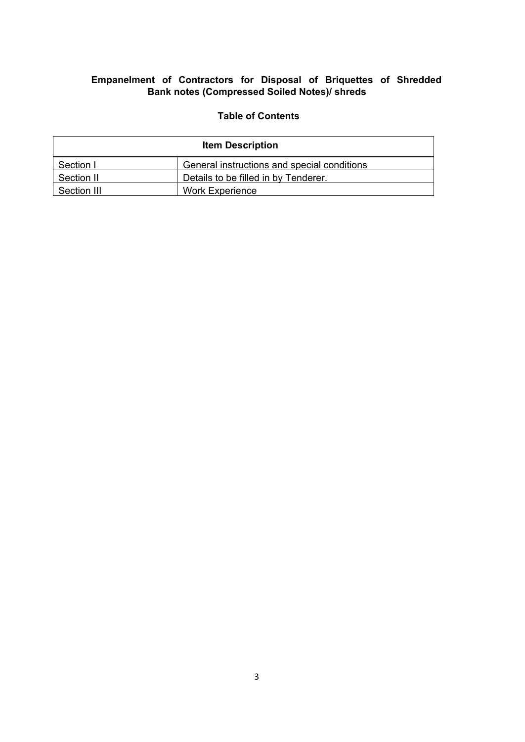## **Empanelment of Contractors for Disposal of Briquettes of Shredded Bank notes (Compressed Soiled Notes)/ shreds**

### **Table of Contents**

| <b>Item Description</b> |                                             |  |  |  |  |
|-------------------------|---------------------------------------------|--|--|--|--|
| Section I               | General instructions and special conditions |  |  |  |  |
| Section II              | Details to be filled in by Tenderer.        |  |  |  |  |
| Section III             | <b>Work Experience</b>                      |  |  |  |  |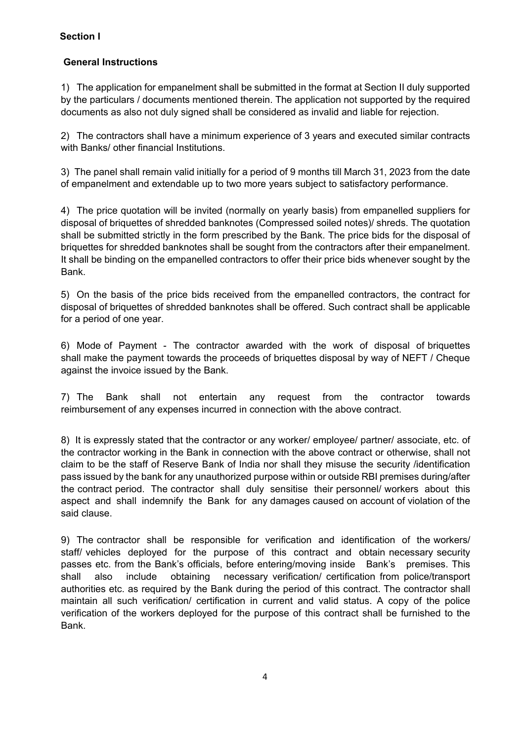### **Section I**

## **General Instructions**

1) The application for empanelment shall be submitted in the format at Section II duly supported by the particulars / documents mentioned therein. The application not supported by the required documents as also not duly signed shall be considered as invalid and liable for rejection.

2) The contractors shall have a minimum experience of 3 years and executed similar contracts with Banks/ other financial Institutions.

3) The panel shall remain valid initially for a period of 9 months till March 31, 2023 from the date of empanelment and extendable up to two more years subject to satisfactory performance.

4) The price quotation will be invited (normally on yearly basis) from empanelled suppliers for disposal of briquettes of shredded banknotes (Compressed soiled notes)/ shreds. The quotation shall be submitted strictly in the form prescribed by the Bank. The price bids for the disposal of briquettes for shredded banknotes shall be sought from the contractors after their empanelment. It shall be binding on the empanelled contractors to offer their price bids whenever sought by the Bank.

5) On the basis of the price bids received from the empanelled contractors, the contract for disposal of briquettes of shredded banknotes shall be offered. Such contract shall be applicable for a period of one year.

6) Mode of Payment - The contractor awarded with the work of disposal of briquettes shall make the payment towards the proceeds of briquettes disposal by way of NEFT / Cheque against the invoice issued by the Bank.

7) The Bank shall not entertain any request from the contractor towards reimbursement of any expenses incurred in connection with the above contract.

8) It is expressly stated that the contractor or any worker/ employee/ partner/ associate, etc. of the contractor working in the Bank in connection with the above contract or otherwise, shall not claim to be the staff of Reserve Bank of India nor shall they misuse the security /identification pass issued by the bank for any unauthorized purpose within or outside RBI premises during/after the contract period. The contractor shall duly sensitise their personnel/ workers about this aspect and shall indemnify the Bank for any damages caused on account of violation of the said clause.

9) The contractor shall be responsible for verification and identification of the workers/ staff/ vehicles deployed for the purpose of this contract and obtain necessary security passes etc. from the Bank's officials, before entering/moving inside Bank's premises. This shall also include obtaining necessary verification/ certification from police/transport authorities etc. as required by the Bank during the period of this contract. The contractor shall maintain all such verification/ certification in current and valid status. A copy of the police verification of the workers deployed for the purpose of this contract shall be furnished to the Bank.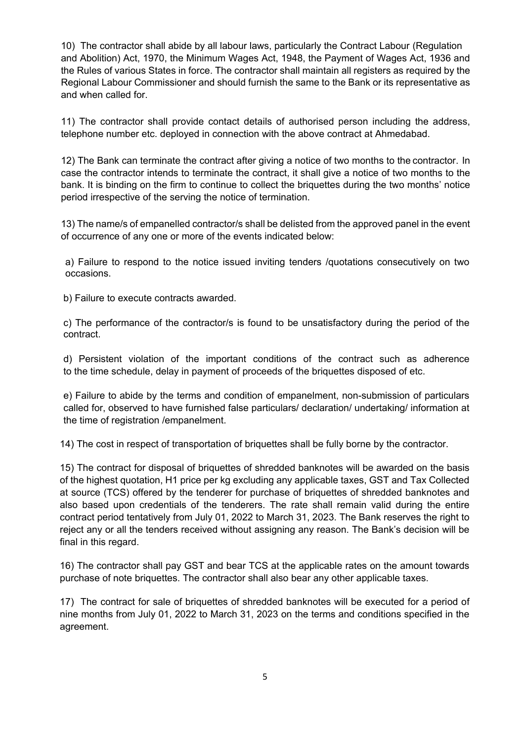10) The contractor shall abide by all labour laws, particularly the Contract Labour (Regulation and Abolition) Act, 1970, the Minimum Wages Act, 1948, the Payment of Wages Act, 1936 and the Rules of various States in force. The contractor shall maintain all registers as required by the Regional Labour Commissioner and should furnish the same to the Bank or its representative as and when called for.

11) The contractor shall provide contact details of authorised person including the address, telephone number etc. deployed in connection with the above contract at Ahmedabad.

12) The Bank can terminate the contract after giving a notice of two months to the contractor. In case the contractor intends to terminate the contract, it shall give a notice of two months to the bank. It is binding on the firm to continue to collect the briquettes during the two months' notice period irrespective of the serving the notice of termination.

13) The name/s of empanelled contractor/s shall be delisted from the approved panel in the event of occurrence of any one or more of the events indicated below:

 a) Failure to respond to the notice issued inviting tenders /quotations consecutively on two occasions.

b) Failure to execute contracts awarded.

c) The performance of the contractor/s is found to be unsatisfactory during the period of the contract.

d) Persistent violation of the important conditions of the contract such as adherence to the time schedule, delay in payment of proceeds of the briquettes disposed of etc.

e) Failure to abide by the terms and condition of empanelment, non-submission of particulars called for, observed to have furnished false particulars/ declaration/ undertaking/ information at the time of registration /empanelment.

14) The cost in respect of transportation of briquettes shall be fully borne by the contractor.

15) The contract for disposal of briquettes of shredded banknotes will be awarded on the basis of the highest quotation, H1 price per kg excluding any applicable taxes, GST and Tax Collected at source (TCS) offered by the tenderer for purchase of briquettes of shredded banknotes and also based upon credentials of the tenderers. The rate shall remain valid during the entire contract period tentatively from July 01, 2022 to March 31, 2023. The Bank reserves the right to reject any or all the tenders received without assigning any reason. The Bank's decision will be final in this regard.

16) The contractor shall pay GST and bear TCS at the applicable rates on the amount towards purchase of note briquettes. The contractor shall also bear any other applicable taxes.

17) The contract for sale of briquettes of shredded banknotes will be executed for a period of nine months from July 01, 2022 to March 31, 2023 on the terms and conditions specified in the agreement.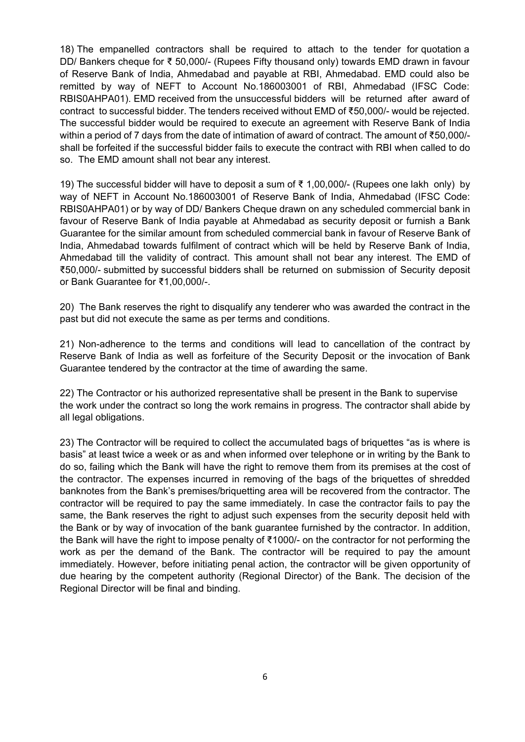18) The empanelled contractors shall be required to attach to the tender for quotation a DD/ Bankers cheque for ₹ 50,000/- (Rupees Fifty thousand only) towards EMD drawn in favour of Reserve Bank of India, Ahmedabad and payable at RBI, Ahmedabad. EMD could also be remitted by way of NEFT to Account No.186003001 of RBI, Ahmedabad (IFSC Code: RBIS0AHPA01). EMD received from the unsuccessful bidders will be returned after award of contract to successful bidder. The tenders received without EMD of ₹50,000/- would be rejected. The successful bidder would be required to execute an agreement with Reserve Bank of India within a period of 7 days from the date of intimation of award of contract. The amount of ₹50,000/ shall be forfeited if the successful bidder fails to execute the contract with RBI when called to do so. The EMD amount shall not bear any interest.

19) The successful bidder will have to deposit a sum of ₹ 1,00,000/- (Rupees one lakh only) by way of NEFT in Account No.186003001 of Reserve Bank of India, Ahmedabad (IFSC Code: RBIS0AHPA01) or by way of DD/ Bankers Cheque drawn on any scheduled commercial bank in favour of Reserve Bank of India payable at Ahmedabad as security deposit or furnish a Bank Guarantee for the similar amount from scheduled commercial bank in favour of Reserve Bank of India, Ahmedabad towards fulfilment of contract which will be held by Reserve Bank of India, Ahmedabad till the validity of contract. This amount shall not bear any interest. The EMD of ₹50,000/- submitted by successful bidders shall be returned on submission of Security deposit or Bank Guarantee for ₹1,00,000/-.

20) The Bank reserves the right to disqualify any tenderer who was awarded the contract in the past but did not execute the same as per terms and conditions.

21) Non-adherence to the terms and conditions will lead to cancellation of the contract by Reserve Bank of India as well as forfeiture of the Security Deposit or the invocation of Bank Guarantee tendered by the contractor at the time of awarding the same.

22) The Contractor or his authorized representative shall be present in the Bank to supervise the work under the contract so long the work remains in progress. The contractor shall abide by all legal obligations.

23) The Contractor will be required to collect the accumulated bags of briquettes "as is where is basis" at least twice a week or as and when informed over telephone or in writing by the Bank to do so, failing which the Bank will have the right to remove them from its premises at the cost of the contractor. The expenses incurred in removing of the bags of the briquettes of shredded banknotes from the Bank's premises/briquetting area will be recovered from the contractor. The contractor will be required to pay the same immediately. In case the contractor fails to pay the same, the Bank reserves the right to adjust such expenses from the security deposit held with the Bank or by way of invocation of the bank guarantee furnished by the contractor. In addition, the Bank will have the right to impose penalty of ₹1000/- on the contractor for not performing the work as per the demand of the Bank. The contractor will be required to pay the amount immediately. However, before initiating penal action, the contractor will be given opportunity of due hearing by the competent authority (Regional Director) of the Bank. The decision of the Regional Director will be final and binding.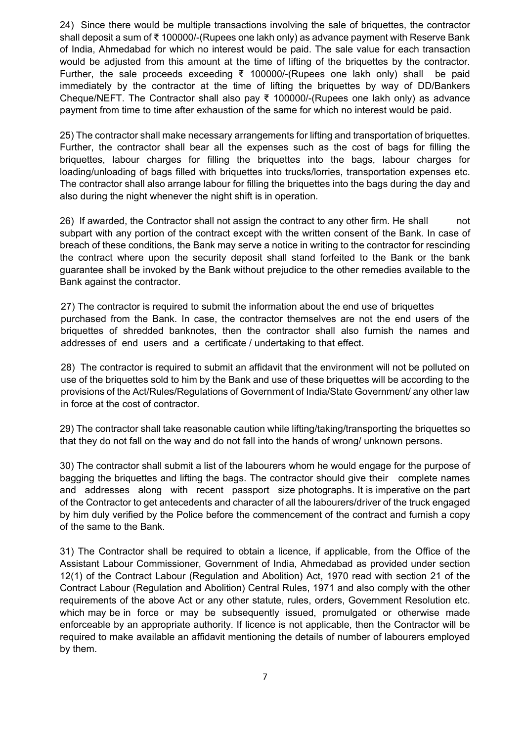24) Since there would be multiple transactions involving the sale of briquettes, the contractor shall deposit a sum of ₹ 100000/-(Rupees one lakh only) as advance payment with Reserve Bank of India, Ahmedabad for which no interest would be paid. The sale value for each transaction would be adjusted from this amount at the time of lifting of the briquettes by the contractor. Further, the sale proceeds exceeding ₹ 100000/-(Rupees one lakh only) shall be paid immediately by the contractor at the time of lifting the briquettes by way of DD/Bankers Cheque/NEFT. The Contractor shall also pay ₹ 100000/-(Rupees one lakh only) as advance payment from time to time after exhaustion of the same for which no interest would be paid.

25) The contractor shall make necessary arrangements for lifting and transportation of briquettes. Further, the contractor shall bear all the expenses such as the cost of bags for filling the briquettes, labour charges for filling the briquettes into the bags, labour charges for loading/unloading of bags filled with briquettes into trucks/lorries, transportation expenses etc. The contractor shall also arrange labour for filling the briquettes into the bags during the day and also during the night whenever the night shift is in operation.

26) If awarded, the Contractor shall not assign the contract to any other firm. He shall not subpart with any portion of the contract except with the written consent of the Bank. In case of breach of these conditions, the Bank may serve a notice in writing to the contractor for rescinding the contract where upon the security deposit shall stand forfeited to the Bank or the bank guarantee shall be invoked by the Bank without prejudice to the other remedies available to the Bank against the contractor.

27) The contractor is required to submit the information about the end use of briquettes purchased from the Bank. In case, the contractor themselves are not the end users of the briquettes of shredded banknotes, then the contractor shall also furnish the names and addresses of end users and a certificate / undertaking to that effect.

28) The contractor is required to submit an affidavit that the environment will not be polluted on use of the briquettes sold to him by the Bank and use of these briquettes will be according to the provisions of the Act/Rules/Regulations of Government of India/State Government/ any other law in force at the cost of contractor.

29) The contractor shall take reasonable caution while lifting/taking/transporting the briquettes so that they do not fall on the way and do not fall into the hands of wrong/ unknown persons.

30) The contractor shall submit a list of the labourers whom he would engage for the purpose of bagging the briquettes and lifting the bags. The contractor should give their complete names and addresses along with recent passport size photographs. It is imperative on the part of the Contractor to get antecedents and character of all the labourers/driver of the truck engaged by him duly verified by the Police before the commencement of the contract and furnish a copy of the same to the Bank.

31) The Contractor shall be required to obtain a licence, if applicable, from the Office of the Assistant Labour Commissioner, Government of India, Ahmedabad as provided under section 12(1) of the Contract Labour (Regulation and Abolition) Act, 1970 read with section 21 of the Contract Labour (Regulation and Abolition) Central Rules, 1971 and also comply with the other requirements of the above Act or any other statute, rules, orders, Government Resolution etc. which may be in force or may be subsequently issued, promulgated or otherwise made enforceable by an appropriate authority. If licence is not applicable, then the Contractor will be required to make available an affidavit mentioning the details of number of labourers employed by them.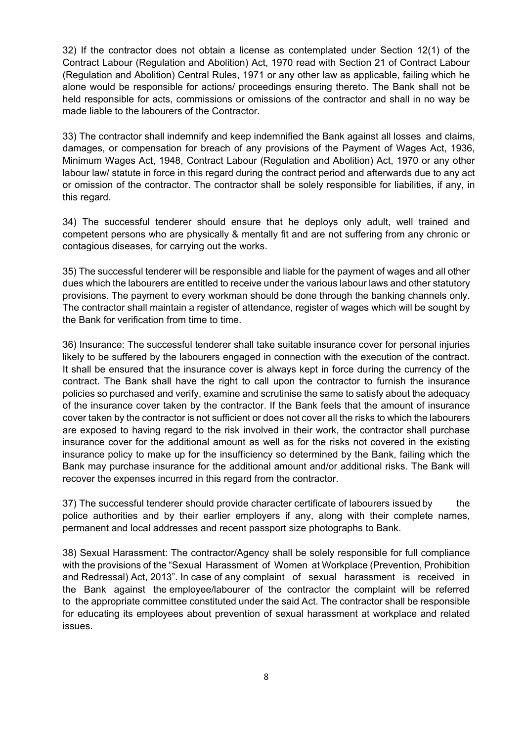32) If the contractor does not obtain a license as contemplated under Section 12(1) of the Contract Labour (Regulation and Abolition) Act, 1970 read with Section 21 of Contract Labour (Regulation and Abolition) Central Rules, 1971 or any other law as applicable, failing which he alone would be responsible for actions/ proceedings ensuring thereto. The Bank shall not be held responsible for acts, commissions or omissions of the contractor and shall in no way be made liable to the labourers of the Contractor.

33) The contractor shall indemnify and keep indemnified the Bank against all losses and claims, damages, or compensation for breach of any provisions of the Payment of Wages Act, 1936, Minimum Wages Act, 1948, Contract Labour (Regulation and Abolition) Act, 1970 or any other labour law/ statute in force in this regard during the contract period and afterwards due to any act or omission of the contractor. The contractor shall be solely responsible for liabilities, if any, in this regard.

34) The successful tenderer should ensure that he deploys only adult, well trained and competent persons who are physically & mentally fit and are not suffering from any chronic or contagious diseases, for carrying out the works.

35) The successful tenderer will be responsible and liable for the payment of wages and all other dues which the labourers are entitled to receive under the various labour laws and other statutory provisions. The payment to every workman should be done through the banking channels only. The contractor shall maintain a register of attendance, register of wages which will be sought by the Bank for verification from time to time.

36) Insurance: The successful tenderer shall take suitable insurance cover for personal injuries likely to be suffered by the labourers engaged in connection with the execution of the contract. It shall be ensured that the insurance cover is always kept in force during the currency of the contract. The Bank shall have the right to call upon the contractor to furnish the insurance policies so purchased and verify, examine and scrutinise the same to satisfy about the adequacy of the insurance cover taken by the contractor. If the Bank feels that the amount of insurance cover taken by the contractor is not sufficient or does not cover all the risks to which the labourers are exposed to having regard to the risk involved in their work, the contractor shall purchase insurance cover for the additional amount as well as for the risks not covered in the existing insurance policy to make up for the insufficiency so determined by the Bank, failing which the Bank may purchase insurance for the additional amount and/or additional risks. The Bank will recover the expenses incurred in this regard from the contractor.

37) The successful tenderer should provide character certificate of labourers issued by the police authorities and by their earlier employers if any, along with their complete names, permanent and local addresses and recent passport size photographs to Bank.

38) Sexual Harassment: The contractor/Agency shall be solely responsible for full compliance with the provisions of the "Sexual Harassment of Women at Workplace (Prevention, Prohibition and Redressal) Act, 2013". In case of any complaint of sexual harassment is received in the Bank against the employee/labourer of the contractor the complaint will be referred to the appropriate committee constituted under the said Act. The contractor shall be responsible for educating its employees about prevention of sexual harassment at workplace and related issues.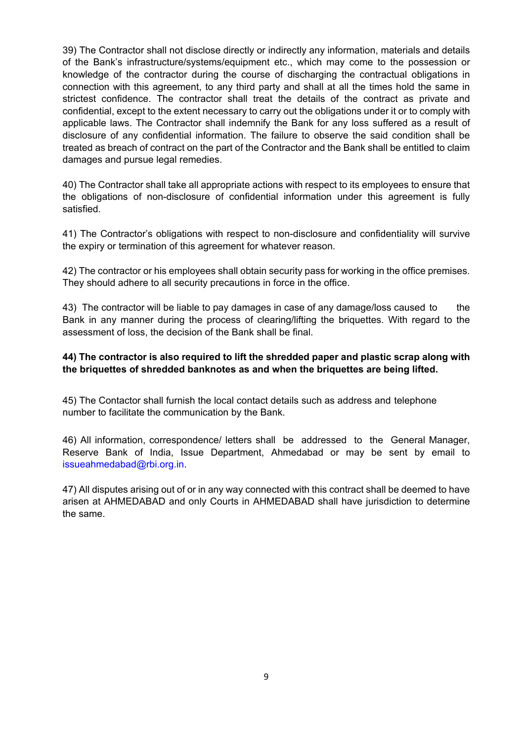39) The Contractor shall not disclose directly or indirectly any information, materials and details of the Bank's infrastructure/systems/equipment etc., which may come to the possession or knowledge of the contractor during the course of discharging the contractual obligations in connection with this agreement, to any third party and shall at all the times hold the same in strictest confidence. The contractor shall treat the details of the contract as private and confidential, except to the extent necessary to carry out the obligations under it or to comply with applicable laws. The Contractor shall indemnify the Bank for any loss suffered as a result of disclosure of any confidential information. The failure to observe the said condition shall be treated as breach of contract on the part of the Contractor and the Bank shall be entitled to claim damages and pursue legal remedies.

40) The Contractor shall take all appropriate actions with respect to its employees to ensure that the obligations of non-disclosure of confidential information under this agreement is fully satisfied.

41) The Contractor's obligations with respect to non-disclosure and confidentiality will survive the expiry or termination of this agreement for whatever reason.

42) The contractor or his employees shall obtain security pass for working in the office premises. They should adhere to all security precautions in force in the office.

43) The contractor will be liable to pay damages in case of any damage/loss caused to the Bank in any manner during the process of clearing/lifting the briquettes. With regard to the assessment of loss, the decision of the Bank shall be final.

### **44) The contractor is also required to lift the shredded paper and plastic scrap along with the briquettes of shredded banknotes as and when the briquettes are being lifted.**

45) The Contactor shall furnish the local contact details such as address and telephone number to facilitate the communication by the Bank.

46) All information, correspondence/ letters shall be addressed to the General Manager, Reserve Bank of India, Issue Department, Ahmedabad or may be sent by email to [issueahmedabad@rbi.org.in.](mailto:issueahmedabad@rbi.org.in)

47) All disputes arising out of or in any way connected with this contract shall be deemed to have arisen at AHMEDABAD and only Courts in AHMEDABAD shall have jurisdiction to determine the same.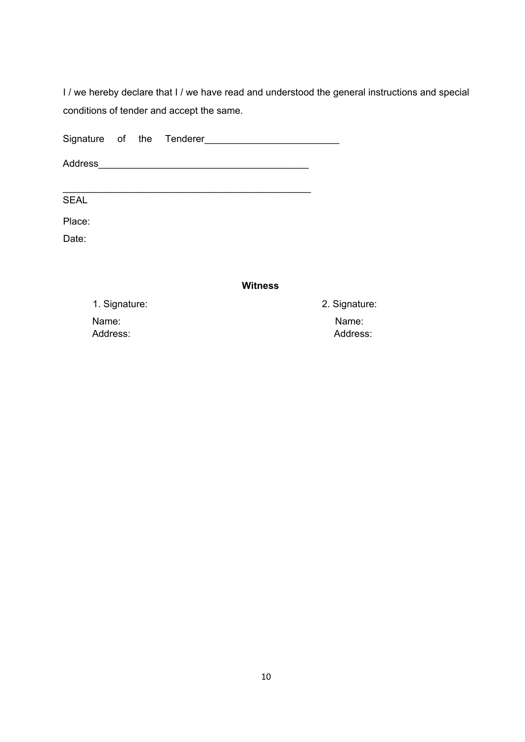I / we hereby declare that I / we have read and understood the general instructions and special conditions of tender and accept the same.

Signature of the Tenderer Address\_\_\_\_\_\_\_\_\_\_\_\_\_\_\_\_\_\_\_\_\_\_\_\_\_\_\_\_\_\_\_\_\_\_\_\_\_\_\_

SEAL

Place:

Date:

#### **Witness**

1. Signature: 2. Signature: Name: Name: Address: Address: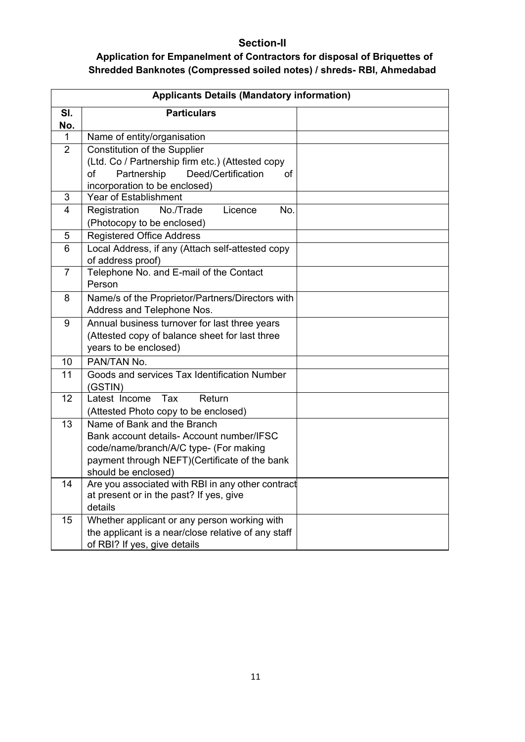## **Section-II**

## **Application for Empanelment of Contractors for disposal of Briquettes of Shredded Banknotes (Compressed soiled notes) / shreds- RBI, Ahmedabad**

| <b>Applicants Details (Mandatory information)</b> |                                                                          |  |  |  |  |  |  |
|---------------------------------------------------|--------------------------------------------------------------------------|--|--|--|--|--|--|
| SI.                                               | <b>Particulars</b>                                                       |  |  |  |  |  |  |
| No.                                               |                                                                          |  |  |  |  |  |  |
| 1                                                 | Name of entity/organisation                                              |  |  |  |  |  |  |
| $\overline{2}$                                    | <b>Constitution of the Supplier</b>                                      |  |  |  |  |  |  |
|                                                   | (Ltd. Co / Partnership firm etc.) (Attested copy                         |  |  |  |  |  |  |
|                                                   | of<br>Partnership<br>Deed/Certification<br>of                            |  |  |  |  |  |  |
|                                                   | incorporation to be enclosed)                                            |  |  |  |  |  |  |
| 3                                                 | Year of Establishment                                                    |  |  |  |  |  |  |
| 4                                                 | No./Trade<br>Licence<br>No.<br>Registration                              |  |  |  |  |  |  |
|                                                   | (Photocopy to be enclosed)                                               |  |  |  |  |  |  |
| 5                                                 | <b>Registered Office Address</b>                                         |  |  |  |  |  |  |
| 6                                                 | Local Address, if any (Attach self-attested copy                         |  |  |  |  |  |  |
|                                                   | of address proof)                                                        |  |  |  |  |  |  |
| $\overline{7}$                                    | Telephone No. and E-mail of the Contact                                  |  |  |  |  |  |  |
|                                                   | Person                                                                   |  |  |  |  |  |  |
| 8                                                 | Name/s of the Proprietor/Partners/Directors with                         |  |  |  |  |  |  |
|                                                   | Address and Telephone Nos.                                               |  |  |  |  |  |  |
| 9                                                 | Annual business turnover for last three years                            |  |  |  |  |  |  |
|                                                   | (Attested copy of balance sheet for last three                           |  |  |  |  |  |  |
|                                                   | years to be enclosed)                                                    |  |  |  |  |  |  |
| 10                                                | PAN/TAN No.                                                              |  |  |  |  |  |  |
| 11                                                | Goods and services Tax Identification Number                             |  |  |  |  |  |  |
|                                                   | (GSTIN)                                                                  |  |  |  |  |  |  |
| 12                                                | Latest Income<br>Tax<br>Return                                           |  |  |  |  |  |  |
|                                                   | (Attested Photo copy to be enclosed)                                     |  |  |  |  |  |  |
| 13                                                | Name of Bank and the Branch                                              |  |  |  |  |  |  |
|                                                   | Bank account details- Account number/IFSC                                |  |  |  |  |  |  |
|                                                   | code/name/branch/A/C type- (For making                                   |  |  |  |  |  |  |
|                                                   | payment through NEFT)(Certificate of the bank                            |  |  |  |  |  |  |
| 14                                                | should be enclosed)<br>Are you associated with RBI in any other contract |  |  |  |  |  |  |
|                                                   | at present or in the past? If yes, give                                  |  |  |  |  |  |  |
|                                                   | details                                                                  |  |  |  |  |  |  |
| 15                                                | Whether applicant or any person working with                             |  |  |  |  |  |  |
|                                                   | the applicant is a near/close relative of any staff                      |  |  |  |  |  |  |
|                                                   | of RBI? If yes, give details                                             |  |  |  |  |  |  |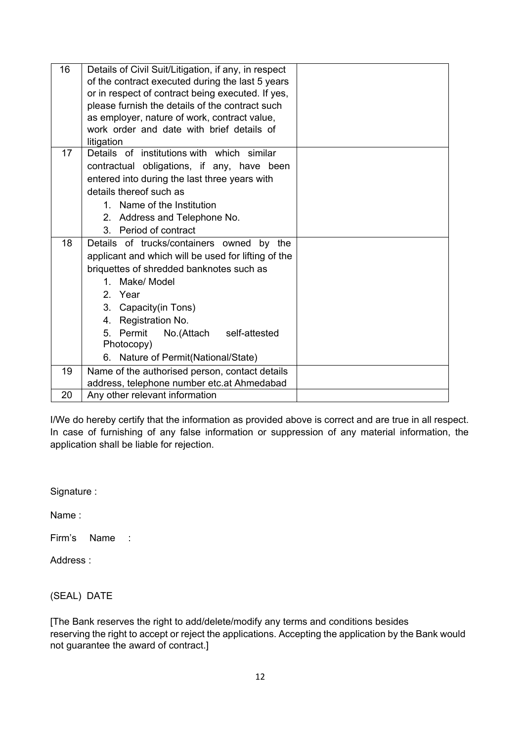| 16 | Details of Civil Suit/Litigation, if any, in respect |  |
|----|------------------------------------------------------|--|
|    | of the contract executed during the last 5 years     |  |
|    | or in respect of contract being executed. If yes,    |  |
|    | please furnish the details of the contract such      |  |
|    | as employer, nature of work, contract value,         |  |
|    | work order and date with brief details of            |  |
|    | litigation                                           |  |
| 17 | Details of institutions with which similar           |  |
|    | contractual obligations, if any, have been           |  |
|    | entered into during the last three years with        |  |
|    | details thereof such as                              |  |
|    | 1. Name of the Institution                           |  |
|    | 2. Address and Telephone No.                         |  |
|    | 3. Period of contract                                |  |
| 18 | Details of trucks/containers owned<br>by<br>the      |  |
|    | applicant and which will be used for lifting of the  |  |
|    | briquettes of shredded banknotes such as             |  |
|    | Make/ Model<br>$1 \quad$                             |  |
|    | 2. Year                                              |  |
|    | 3. Capacity(in Tons)                                 |  |
|    | 4. Registration No.                                  |  |
|    | 5. Permit No.(Attach<br>self-attested                |  |
|    | Photocopy)                                           |  |
|    | 6. Nature of Permit(National/State)                  |  |
| 19 | Name of the authorised person, contact details       |  |
|    | address, telephone number etc.at Ahmedabad           |  |
| 20 | Any other relevant information                       |  |

I/We do hereby certify that the information as provided above is correct and are true in all respect. In case of furnishing of any false information or suppression of any material information, the application shall be liable for rejection.

Signature :

Name :

Firm's Name :

Address :

(SEAL) DATE

[The Bank reserves the right to add/delete/modify any terms and conditions besides reserving the right to accept or reject the applications. Accepting the application by the Bank would not guarantee the award of contract.]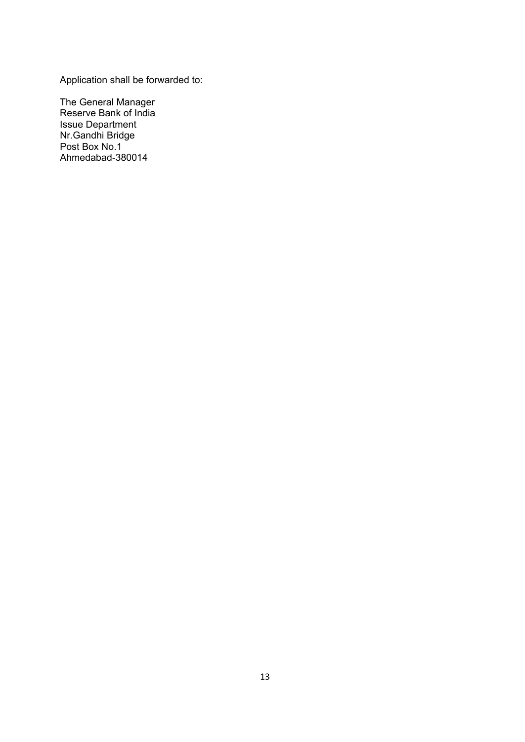Application shall be forwarded to:

The General Manager Reserve Bank of India Issue Department Nr.Gandhi Bridge Post Box No.1 Ahmedabad-380014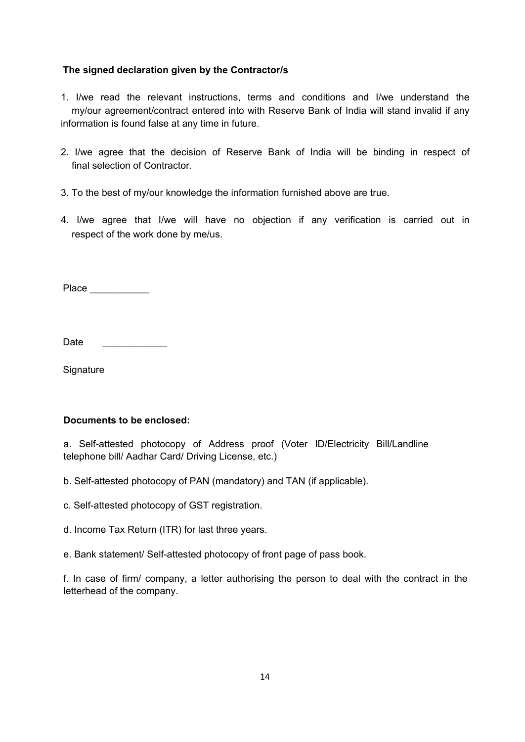### **The signed declaration given by the Contractor/s**

1. I/we read the relevant instructions, terms and conditions and I/we understand the my/our agreement/contract entered into with Reserve Bank of India will stand invalid if any information is found false at any time in future.

- 2. I/we agree that the decision of Reserve Bank of India will be binding in respect of final selection of Contractor.
- 3. To the best of my/our knowledge the information furnished above are true.
- 4. I/we agree that I/we will have no objection if any verification is carried out in respect of the work done by me/us.

Place  $\qquad \qquad \blacksquare$ 

Date

**Signature** 

### **Documents to be enclosed:**

a. Self-attested photocopy of Address proof (Voter ID/Electricity Bill/Landline telephone bill/ Aadhar Card/ Driving License, etc.)

- b. Self-attested photocopy of PAN (mandatory) and TAN (if applicable).
- c. Self-attested photocopy of GST registration.
- d. Income Tax Return (ITR) for last three years.
- e. Bank statement/ Self-attested photocopy of front page of pass book.

f. In case of firm/ company, a letter authorising the person to deal with the contract in the letterhead of the company.